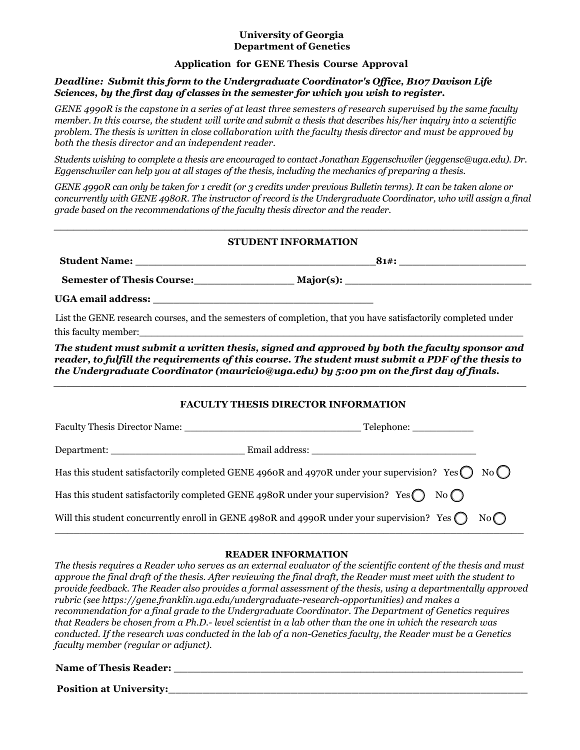### **University of Georgia Department of Genetics**

## **Application for GENE Thesis Course Approval**

## *Deadline: Submit this form to the Undergraduate Coordinator's Office, B107 Davison Life Sciences, by the first day of classes in the semester for which you wish to register.*

GENE 4990R is the capstone in a series of at least three semesters of research supervised by the same faculty member. In this course, the student will write and submit a thesis that describes his/her inquiry into a scientific problem. The thesis is written in close collaboration with the faculty thesis director and must be approved by *both the thesis director and an independent reader.*

*Students wishing to complete a thesis are encouraged to contact Jonathan Eggenschwiler (jeggensc@uga.edu). Dr. Eggenschwiler can help you at all stages of the thesis, including the mechanics of preparing a thesis.* 

*GENE 4990R can only be taken for 1 credit (or 3 credits under previous Bulletin terms). It can be taken alone or concurrently with GENE 4980R. The instructor of record is the Undergraduate Coordinator, who will assign a final grade based on the recommendations of the faculty thesis director and the reader.*

# *\_\_\_\_\_\_\_\_\_\_\_\_\_\_\_\_\_\_\_\_\_\_\_\_\_\_\_\_\_\_\_\_\_\_\_\_\_\_\_\_\_\_\_\_\_\_\_\_\_\_\_\_\_\_\_\_\_\_\_\_\_\_\_\_\_\_\_\_\_\_\_\_*  **STUDENT INFORMATION**

| <b>Student Name:</b>              | 81#       |
|-----------------------------------|-----------|
| <b>Semester of Thesis Course:</b> | Maior(s): |

**UGA email address: \_\_\_\_\_\_\_\_\_\_\_\_\_\_\_\_\_\_\_\_\_\_\_\_\_\_\_\_\_\_\_\_\_** 

List the GENE research courses, and the semesters of completion, that you have satisfactorily completed under this faculty member:

*The student must submit a written thesis, signed and approved by both the faculty sponsor and reader, to fulfill the requirements of this course. The student must submit a PDF of the thesis to the Undergraduate Coordinator (mauricio@uga.edu) by 5:00 pm on the first day of finals. \_\_\_\_\_\_\_\_\_\_\_\_\_\_\_\_\_\_\_\_\_\_\_\_\_\_\_\_\_\_\_\_\_\_\_\_\_\_\_\_\_\_\_\_\_\_\_\_\_\_\_\_\_\_\_\_\_\_\_\_\_\_\_\_\_\_\_\_\_\_\_*

## **FACULTY THESIS DIRECTOR INFORMATION**

| Faculty Thesis Director Name: |                                                                                                                     |  |
|-------------------------------|---------------------------------------------------------------------------------------------------------------------|--|
| Department:                   |                                                                                                                     |  |
|                               | Has this student satisfactorily completed GENE 4960R and 4970R under your supervision? Yes $\bigcirc$ No $\bigcirc$ |  |
|                               | Has this student satisfactorily completed GENE 4980R under your supervision? Yes $\bigcirc$ No $\bigcirc$           |  |
|                               | Will this student concurrently enroll in GENE 4980R and 4990R under your supervision? Yes $\bigcap$<br>No           |  |

### **READER INFORMATION**

*The thesis requires a Reader who serves as an external evaluator of the scientific content of the thesis and must approve the final draft of the thesis. After reviewing the final draft, the Reader must meet with the student to provide feedback. The Reader also provides a formal assessment of the thesis, using a departmentally approved rubric (see https://gene.franklin.uga.edu/undergraduate-research-opportunities) and makes a recommendation for a final grade to the Undergraduate Coordinator. The Department of Genetics requires that Readers be chosen from a Ph.D.- level scientist in a lab other than the one in which the research was conducted. If the research was conducted in the lab of a non-Genetics faculty, the Reader must be a Genetics faculty member (regular or adjunct).*

### **Name of Thesis Reader: \_\_\_\_\_\_\_\_\_\_\_\_\_\_\_\_\_\_\_\_\_\_\_\_\_\_\_\_\_\_\_\_\_\_\_\_\_\_\_\_\_\_\_\_\_\_\_\_\_\_\_\_\_**

**Position at University:**